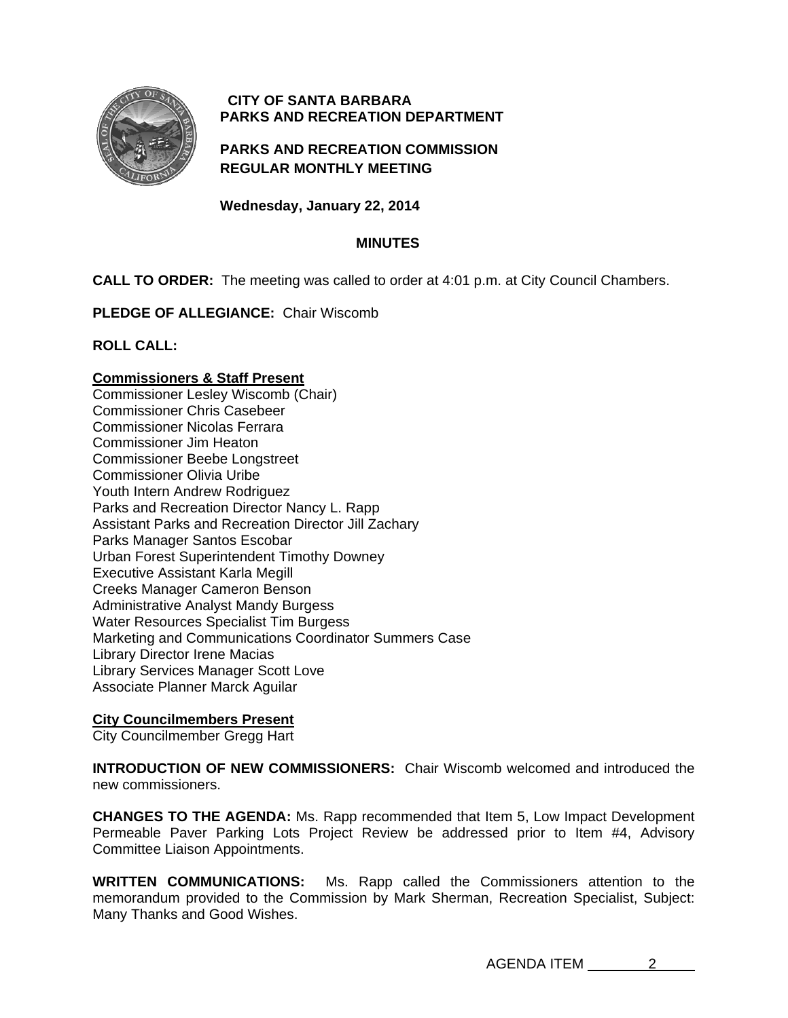

# **CITY OF SANTA BARBARA PARKS AND RECREATION DEPARTMENT**

# **PARKS AND RECREATION COMMISSION REGULAR MONTHLY MEETING**

**Wednesday, January 22, 2014** 

# **MINUTES**

**CALL TO ORDER:** The meeting was called to order at 4:01 p.m. at City Council Chambers.

**PLEDGE OF ALLEGIANCE:** Chair Wiscomb

**ROLL CALL:** 

# **Commissioners & Staff Present**

Commissioner Lesley Wiscomb (Chair) Commissioner Chris Casebeer Commissioner Nicolas Ferrara Commissioner Jim Heaton Commissioner Beebe Longstreet Commissioner Olivia Uribe Youth Intern Andrew Rodriguez Parks and Recreation Director Nancy L. Rapp Assistant Parks and Recreation Director Jill Zachary Parks Manager Santos Escobar Urban Forest Superintendent Timothy Downey Executive Assistant Karla Megill Creeks Manager Cameron Benson Administrative Analyst Mandy Burgess Water Resources Specialist Tim Burgess Marketing and Communications Coordinator Summers Case Library Director Irene Macias Library Services Manager Scott Love Associate Planner Marck Aguilar

# **City Councilmembers Present**

City Councilmember Gregg Hart

**INTRODUCTION OF NEW COMMISSIONERS:** Chair Wiscomb welcomed and introduced the new commissioners.

**CHANGES TO THE AGENDA:** Ms. Rapp recommended that Item 5, Low Impact Development Permeable Paver Parking Lots Project Review be addressed prior to Item #4, Advisory Committee Liaison Appointments.

**WRITTEN COMMUNICATIONS:** Ms. Rapp called the Commissioners attention to the memorandum provided to the Commission by Mark Sherman, Recreation Specialist, Subject: Many Thanks and Good Wishes.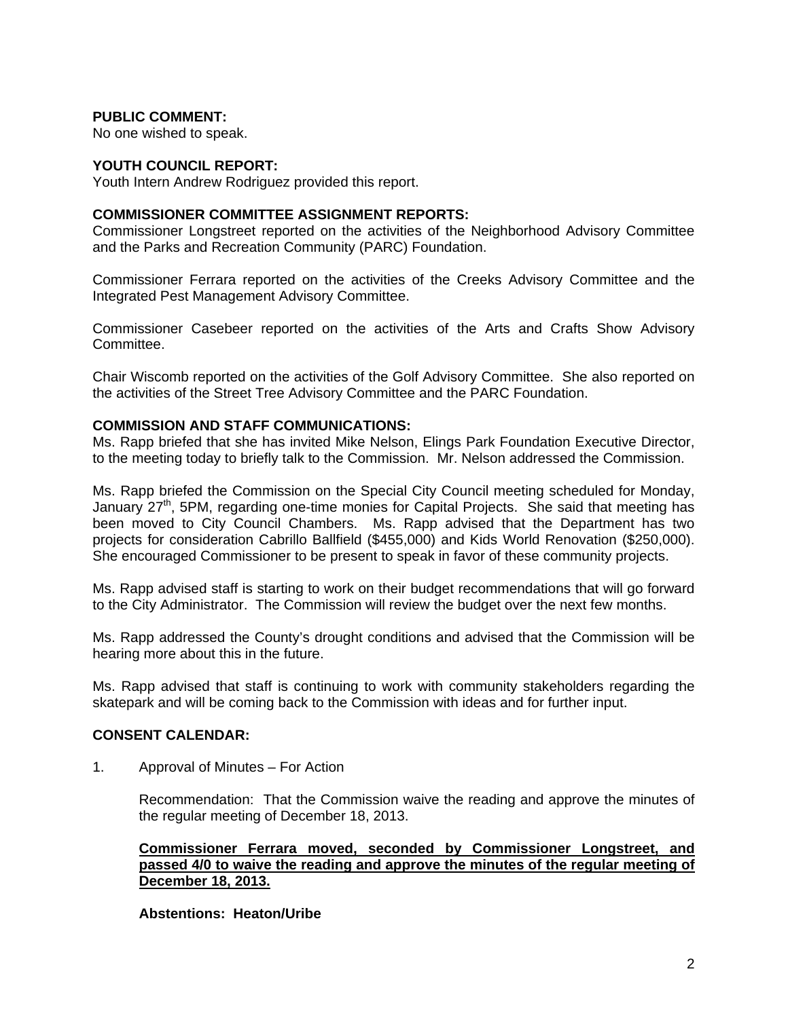## **PUBLIC COMMENT:**

No one wished to speak.

### **YOUTH COUNCIL REPORT:**

Youth Intern Andrew Rodriguez provided this report.

### **COMMISSIONER COMMITTEE ASSIGNMENT REPORTS:**

Commissioner Longstreet reported on the activities of the Neighborhood Advisory Committee and the Parks and Recreation Community (PARC) Foundation.

Commissioner Ferrara reported on the activities of the Creeks Advisory Committee and the Integrated Pest Management Advisory Committee.

Commissioner Casebeer reported on the activities of the Arts and Crafts Show Advisory Committee.

Chair Wiscomb reported on the activities of the Golf Advisory Committee. She also reported on the activities of the Street Tree Advisory Committee and the PARC Foundation.

### **COMMISSION AND STAFF COMMUNICATIONS:**

Ms. Rapp briefed that she has invited Mike Nelson, Elings Park Foundation Executive Director, to the meeting today to briefly talk to the Commission. Mr. Nelson addressed the Commission.

Ms. Rapp briefed the Commission on the Special City Council meeting scheduled for Monday, January  $27<sup>th</sup>$ , 5PM, regarding one-time monies for Capital Projects. She said that meeting has been moved to City Council Chambers. Ms. Rapp advised that the Department has two projects for consideration Cabrillo Ballfield (\$455,000) and Kids World Renovation (\$250,000). She encouraged Commissioner to be present to speak in favor of these community projects.

Ms. Rapp advised staff is starting to work on their budget recommendations that will go forward to the City Administrator. The Commission will review the budget over the next few months.

Ms. Rapp addressed the County's drought conditions and advised that the Commission will be hearing more about this in the future.

Ms. Rapp advised that staff is continuing to work with community stakeholders regarding the skatepark and will be coming back to the Commission with ideas and for further input.

### **CONSENT CALENDAR:**

1. Approval of Minutes – For Action

 Recommendation: That the Commission waive the reading and approve the minutes of the regular meeting of December 18, 2013.

### **Commissioner Ferrara moved, seconded by Commissioner Longstreet, and passed 4/0 to waive the reading and approve the minutes of the regular meeting of December 18, 2013.**

### **Abstentions: Heaton/Uribe**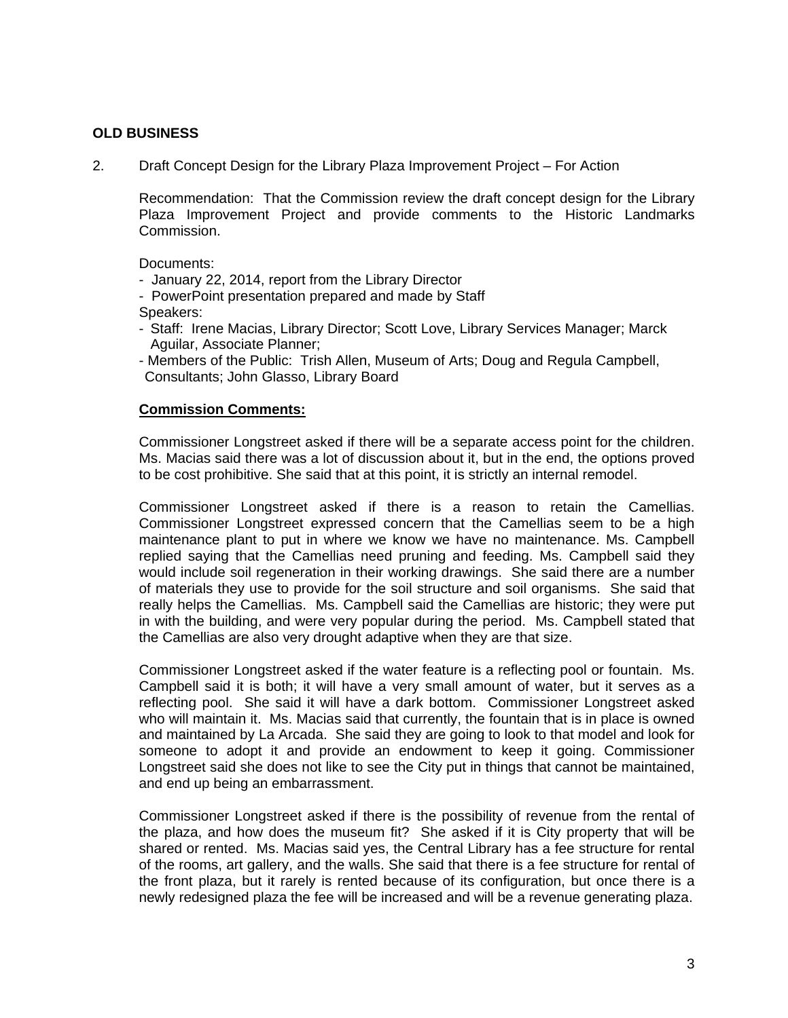## **OLD BUSINESS**

2. Draft Concept Design for the Library Plaza Improvement Project – For Action

 Recommendation: That the Commission review the draft concept design for the Library Plaza Improvement Project and provide comments to the Historic Landmarks Commission.

Documents:

- January 22, 2014, report from the Library Director
- PowerPoint presentation prepared and made by Staff
- Speakers:
- Staff: Irene Macias, Library Director; Scott Love, Library Services Manager; Marck Aguilar, Associate Planner;
- Members of the Public: Trish Allen, Museum of Arts; Doug and Regula Campbell, Consultants; John Glasso, Library Board

### **Commission Comments:**

Commissioner Longstreet asked if there will be a separate access point for the children. Ms. Macias said there was a lot of discussion about it, but in the end, the options proved to be cost prohibitive. She said that at this point, it is strictly an internal remodel.

Commissioner Longstreet asked if there is a reason to retain the Camellias. Commissioner Longstreet expressed concern that the Camellias seem to be a high maintenance plant to put in where we know we have no maintenance. Ms. Campbell replied saying that the Camellias need pruning and feeding. Ms. Campbell said they would include soil regeneration in their working drawings. She said there are a number of materials they use to provide for the soil structure and soil organisms. She said that really helps the Camellias. Ms. Campbell said the Camellias are historic; they were put in with the building, and were very popular during the period. Ms. Campbell stated that the Camellias are also very drought adaptive when they are that size.

Commissioner Longstreet asked if the water feature is a reflecting pool or fountain. Ms. Campbell said it is both; it will have a very small amount of water, but it serves as a reflecting pool. She said it will have a dark bottom. Commissioner Longstreet asked who will maintain it. Ms. Macias said that currently, the fountain that is in place is owned and maintained by La Arcada. She said they are going to look to that model and look for someone to adopt it and provide an endowment to keep it going. Commissioner Longstreet said she does not like to see the City put in things that cannot be maintained, and end up being an embarrassment.

Commissioner Longstreet asked if there is the possibility of revenue from the rental of the plaza, and how does the museum fit? She asked if it is City property that will be shared or rented. Ms. Macias said yes, the Central Library has a fee structure for rental of the rooms, art gallery, and the walls. She said that there is a fee structure for rental of the front plaza, but it rarely is rented because of its configuration, but once there is a newly redesigned plaza the fee will be increased and will be a revenue generating plaza.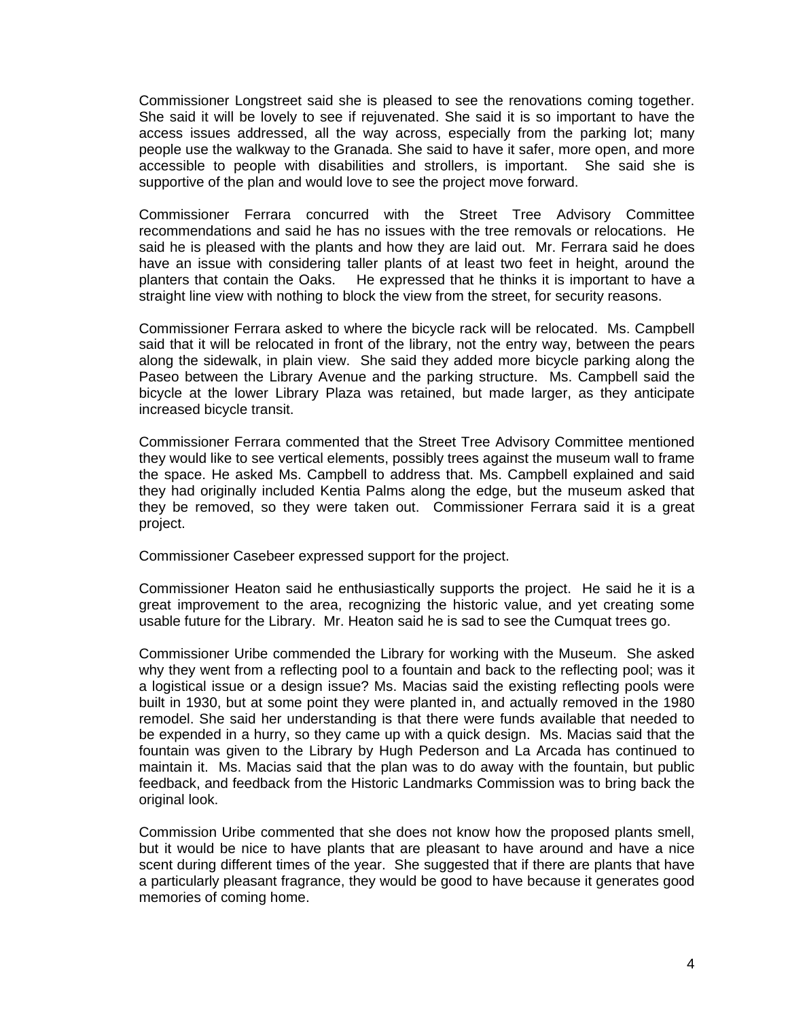Commissioner Longstreet said she is pleased to see the renovations coming together. She said it will be lovely to see if rejuvenated. She said it is so important to have the access issues addressed, all the way across, especially from the parking lot; many people use the walkway to the Granada. She said to have it safer, more open, and more accessible to people with disabilities and strollers, is important. She said she is supportive of the plan and would love to see the project move forward.

Commissioner Ferrara concurred with the Street Tree Advisory Committee recommendations and said he has no issues with the tree removals or relocations. He said he is pleased with the plants and how they are laid out. Mr. Ferrara said he does have an issue with considering taller plants of at least two feet in height, around the planters that contain the Oaks. He expressed that he thinks it is important to have a He expressed that he thinks it is important to have a straight line view with nothing to block the view from the street, for security reasons.

Commissioner Ferrara asked to where the bicycle rack will be relocated. Ms. Campbell said that it will be relocated in front of the library, not the entry way, between the pears along the sidewalk, in plain view. She said they added more bicycle parking along the Paseo between the Library Avenue and the parking structure. Ms. Campbell said the bicycle at the lower Library Plaza was retained, but made larger, as they anticipate increased bicycle transit.

Commissioner Ferrara commented that the Street Tree Advisory Committee mentioned they would like to see vertical elements, possibly trees against the museum wall to frame the space. He asked Ms. Campbell to address that. Ms. Campbell explained and said they had originally included Kentia Palms along the edge, but the museum asked that they be removed, so they were taken out. Commissioner Ferrara said it is a great project.

Commissioner Casebeer expressed support for the project.

Commissioner Heaton said he enthusiastically supports the project. He said he it is a great improvement to the area, recognizing the historic value, and yet creating some usable future for the Library. Mr. Heaton said he is sad to see the Cumquat trees go.

Commissioner Uribe commended the Library for working with the Museum. She asked why they went from a reflecting pool to a fountain and back to the reflecting pool; was it a logistical issue or a design issue? Ms. Macias said the existing reflecting pools were built in 1930, but at some point they were planted in, and actually removed in the 1980 remodel. She said her understanding is that there were funds available that needed to be expended in a hurry, so they came up with a quick design. Ms. Macias said that the fountain was given to the Library by Hugh Pederson and La Arcada has continued to maintain it. Ms. Macias said that the plan was to do away with the fountain, but public feedback, and feedback from the Historic Landmarks Commission was to bring back the original look.

Commission Uribe commented that she does not know how the proposed plants smell, but it would be nice to have plants that are pleasant to have around and have a nice scent during different times of the year. She suggested that if there are plants that have a particularly pleasant fragrance, they would be good to have because it generates good memories of coming home.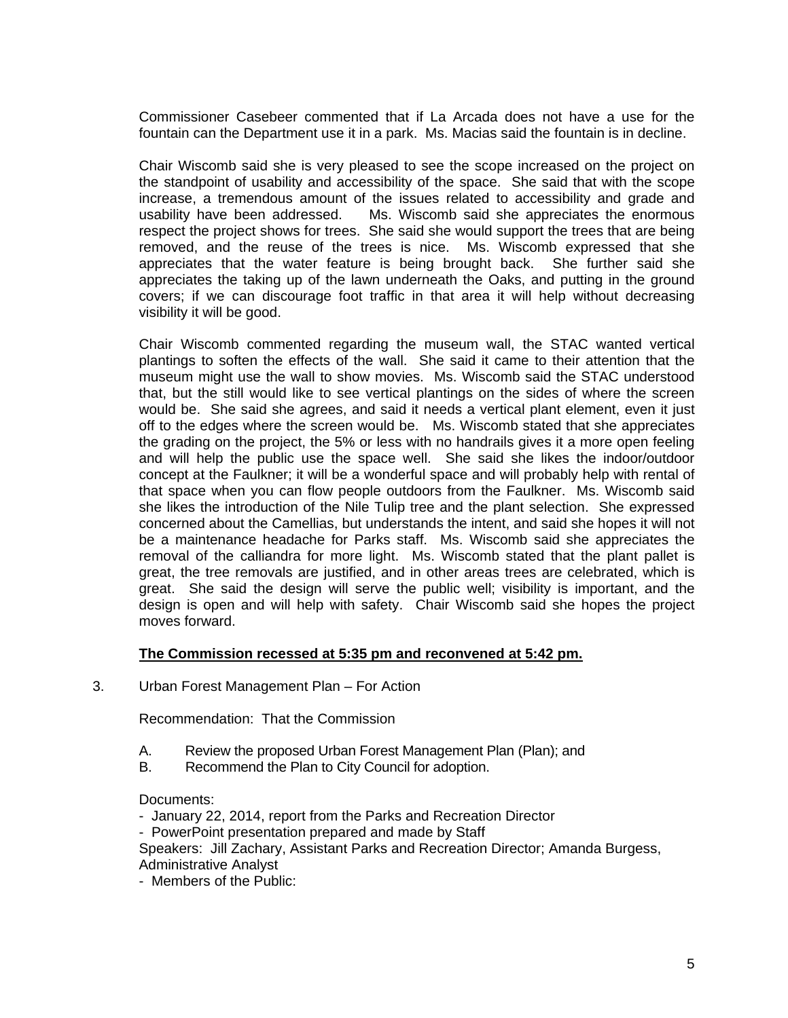Commissioner Casebeer commented that if La Arcada does not have a use for the fountain can the Department use it in a park. Ms. Macias said the fountain is in decline.

Chair Wiscomb said she is very pleased to see the scope increased on the project on the standpoint of usability and accessibility of the space. She said that with the scope increase, a tremendous amount of the issues related to accessibility and grade and usability have been addressed. Ms. Wiscomb said she appreciates the enormous respect the project shows for trees. She said she would support the trees that are being removed, and the reuse of the trees is nice. Ms. Wiscomb expressed that she appreciates that the water feature is being brought back. She further said she appreciates the taking up of the lawn underneath the Oaks, and putting in the ground covers; if we can discourage foot traffic in that area it will help without decreasing visibility it will be good.

Chair Wiscomb commented regarding the museum wall, the STAC wanted vertical plantings to soften the effects of the wall. She said it came to their attention that the museum might use the wall to show movies. Ms. Wiscomb said the STAC understood that, but the still would like to see vertical plantings on the sides of where the screen would be. She said she agrees, and said it needs a vertical plant element, even it just off to the edges where the screen would be. Ms. Wiscomb stated that she appreciates the grading on the project, the 5% or less with no handrails gives it a more open feeling and will help the public use the space well. She said she likes the indoor/outdoor concept at the Faulkner; it will be a wonderful space and will probably help with rental of that space when you can flow people outdoors from the Faulkner. Ms. Wiscomb said she likes the introduction of the Nile Tulip tree and the plant selection. She expressed concerned about the Camellias, but understands the intent, and said she hopes it will not be a maintenance headache for Parks staff. Ms. Wiscomb said she appreciates the removal of the calliandra for more light. Ms. Wiscomb stated that the plant pallet is great, the tree removals are justified, and in other areas trees are celebrated, which is great. She said the design will serve the public well; visibility is important, and the design is open and will help with safety. Chair Wiscomb said she hopes the project moves forward.

### **The Commission recessed at 5:35 pm and reconvened at 5:42 pm.**

3. Urban Forest Management Plan – For Action

Recommendation: That the Commission

- A. Review the proposed Urban Forest Management Plan (Plan); and
- B. Recommend the Plan to City Council for adoption.

Documents:

- January 22, 2014, report from the Parks and Recreation Director
- PowerPoint presentation prepared and made by Staff

Speakers: Jill Zachary, Assistant Parks and Recreation Director; Amanda Burgess, Administrative Analyst

- Members of the Public: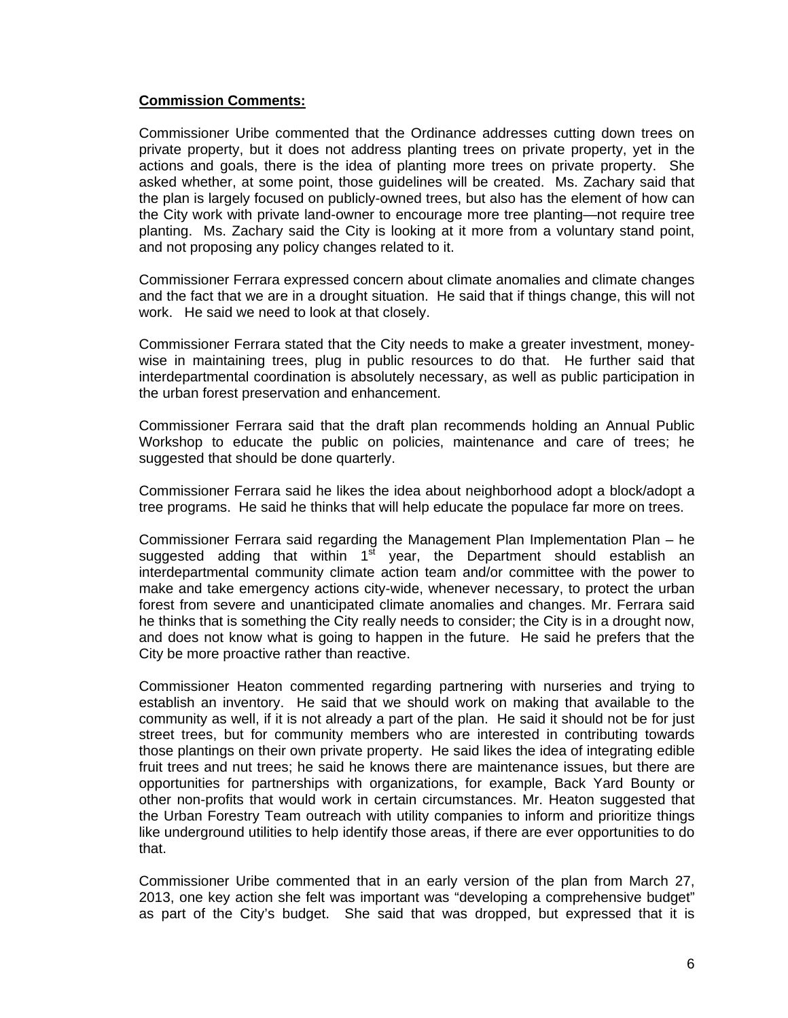## **Commission Comments:**

Commissioner Uribe commented that the Ordinance addresses cutting down trees on private property, but it does not address planting trees on private property, yet in the actions and goals, there is the idea of planting more trees on private property. She asked whether, at some point, those guidelines will be created. Ms. Zachary said that the plan is largely focused on publicly-owned trees, but also has the element of how can the City work with private land-owner to encourage more tree planting—not require tree planting. Ms. Zachary said the City is looking at it more from a voluntary stand point, and not proposing any policy changes related to it.

Commissioner Ferrara expressed concern about climate anomalies and climate changes and the fact that we are in a drought situation. He said that if things change, this will not work. He said we need to look at that closely.

Commissioner Ferrara stated that the City needs to make a greater investment, moneywise in maintaining trees, plug in public resources to do that. He further said that interdepartmental coordination is absolutely necessary, as well as public participation in the urban forest preservation and enhancement.

Commissioner Ferrara said that the draft plan recommends holding an Annual Public Workshop to educate the public on policies, maintenance and care of trees; he suggested that should be done quarterly.

Commissioner Ferrara said he likes the idea about neighborhood adopt a block/adopt a tree programs. He said he thinks that will help educate the populace far more on trees.

Commissioner Ferrara said regarding the Management Plan Implementation Plan – he suggested adding that within  $1<sup>st</sup>$  year, the Department should establish an interdepartmental community climate action team and/or committee with the power to make and take emergency actions city-wide, whenever necessary, to protect the urban forest from severe and unanticipated climate anomalies and changes. Mr. Ferrara said he thinks that is something the City really needs to consider; the City is in a drought now, and does not know what is going to happen in the future. He said he prefers that the City be more proactive rather than reactive.

Commissioner Heaton commented regarding partnering with nurseries and trying to establish an inventory. He said that we should work on making that available to the community as well, if it is not already a part of the plan. He said it should not be for just street trees, but for community members who are interested in contributing towards those plantings on their own private property. He said likes the idea of integrating edible fruit trees and nut trees; he said he knows there are maintenance issues, but there are opportunities for partnerships with organizations, for example, Back Yard Bounty or other non-profits that would work in certain circumstances. Mr. Heaton suggested that the Urban Forestry Team outreach with utility companies to inform and prioritize things like underground utilities to help identify those areas, if there are ever opportunities to do that.

Commissioner Uribe commented that in an early version of the plan from March 27, 2013, one key action she felt was important was "developing a comprehensive budget" as part of the City's budget. She said that was dropped, but expressed that it is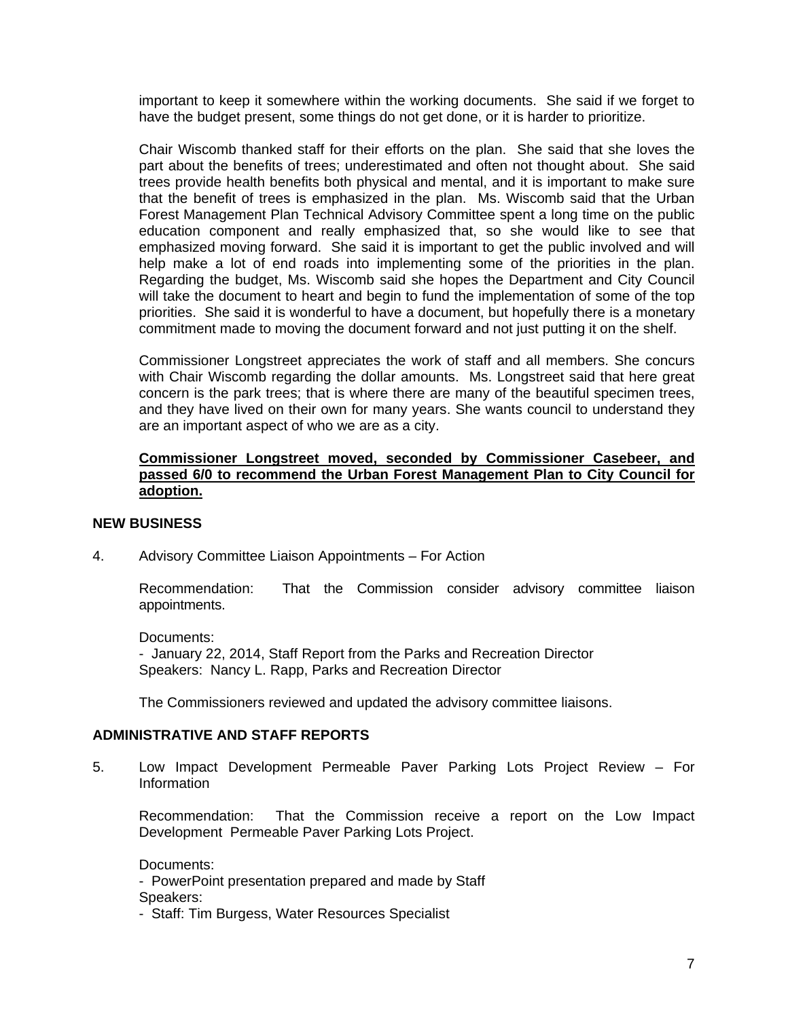important to keep it somewhere within the working documents. She said if we forget to have the budget present, some things do not get done, or it is harder to prioritize.

Chair Wiscomb thanked staff for their efforts on the plan. She said that she loves the part about the benefits of trees; underestimated and often not thought about. She said trees provide health benefits both physical and mental, and it is important to make sure that the benefit of trees is emphasized in the plan. Ms. Wiscomb said that the Urban Forest Management Plan Technical Advisory Committee spent a long time on the public education component and really emphasized that, so she would like to see that emphasized moving forward. She said it is important to get the public involved and will help make a lot of end roads into implementing some of the priorities in the plan. Regarding the budget, Ms. Wiscomb said she hopes the Department and City Council will take the document to heart and begin to fund the implementation of some of the top priorities. She said it is wonderful to have a document, but hopefully there is a monetary commitment made to moving the document forward and not just putting it on the shelf.

Commissioner Longstreet appreciates the work of staff and all members. She concurs with Chair Wiscomb regarding the dollar amounts. Ms. Longstreet said that here great concern is the park trees; that is where there are many of the beautiful specimen trees, and they have lived on their own for many years. She wants council to understand they are an important aspect of who we are as a city.

## **Commissioner Longstreet moved, seconded by Commissioner Casebeer, and passed 6/0 to recommend the Urban Forest Management Plan to City Council for adoption.**

# **NEW BUSINESS**

4. Advisory Committee Liaison Appointments – For Action

 Recommendation: That the Commission consider advisory committee liaison appointments.

Documents: - January 22, 2014, Staff Report from the Parks and Recreation Director Speakers: Nancy L. Rapp, Parks and Recreation Director

The Commissioners reviewed and updated the advisory committee liaisons.

# **ADMINISTRATIVE AND STAFF REPORTS**

5. Low Impact Development Permeable Paver Parking Lots Project Review – For Information

Recommendation: That the Commission receive a report on the Low Impact Development Permeable Paver Parking Lots Project.

Documents:

- PowerPoint presentation prepared and made by Staff Speakers:

- Staff: Tim Burgess, Water Resources Specialist